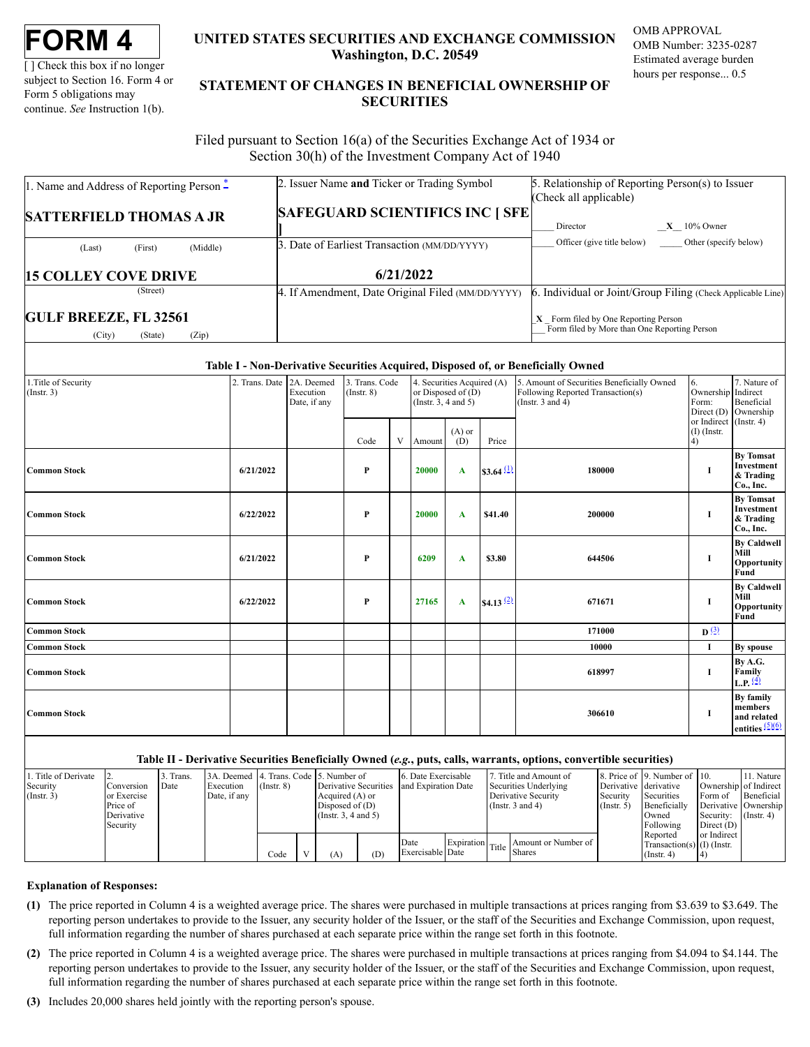| ORM |
|-----|
|-----|

[] Check this box if no longer subject to Section 16. Form 4 or Form 5 obligations may continue. *See* Instruction 1(b).

# **UNITED STATES SECURITIES AND EXCHANGE COMMISSION Washington, D.C. 20549**

OMB APPROVAL OMB Number: 3235-0287 Estimated average burden hours per response... 0.5

# **STATEMENT OF CHANGES IN BENEFICIAL OWNERSHIP OF SECURITIES**

Filed pursuant to Section 16(a) of the Securities Exchange Act of 1934 or Section 30(h) of the Investment Company Act of 1940

| 1. Name and Address of Reporting Person $\ddot{=}$         | 2. Issuer Name and Ticker or Trading Symbol       | 5. Relationship of Reporting Person(s) to Issuer<br>(Check all applicable)             |  |  |  |  |
|------------------------------------------------------------|---------------------------------------------------|----------------------------------------------------------------------------------------|--|--|--|--|
| <b>SATTERFIELD THOMAS A JR</b>                             | <b>SAFEGUARD SCIENTIFICS INC   SFE</b>            | $X = 10\%$ Owner<br>Director                                                           |  |  |  |  |
| (Middle)<br>(First)<br>(Last)                              | 3. Date of Earliest Transaction (MM/DD/YYYY)      | Officer (give title below)<br>Other (specify below)                                    |  |  |  |  |
| <b>15 COLLEY COVE DRIVE</b>                                | 6/21/2022                                         |                                                                                        |  |  |  |  |
| (Street)                                                   | 4. If Amendment, Date Original Filed (MM/DD/YYYY) | 6. Individual or Joint/Group Filing (Check Applicable Line)                            |  |  |  |  |
| <b>GULF BREEZE, FL 32561</b><br>(City)<br>(Zip)<br>(State) |                                                   | $X$ Form filed by One Reporting Person<br>Form filed by More than One Reporting Person |  |  |  |  |

### **Table I - Non-Derivative Securities Acquired, Disposed of, or Beneficially Owned**

| 1. Title of Security<br>(Insert. 3) | 2. Trans. Date 2A. Deemed | Execution<br>Date, if any | 3. Trans. Code<br>4. Securities Acquired (A)<br>or Disposed of $(D)$<br>(Insert 8)<br>(Instr. $3, 4$ and $5$ ) |   |        |                 |              | 5. Amount of Securities Beneficially Owned<br>Following Reported Transaction(s)<br>(Instr. $3$ and $4$ ) | 6.<br>Ownership Indirect<br>Form:<br>Direct (D) | 7. Nature of<br>Beneficial<br>Ownership                            |
|-------------------------------------|---------------------------|---------------------------|----------------------------------------------------------------------------------------------------------------|---|--------|-----------------|--------------|----------------------------------------------------------------------------------------------------------|-------------------------------------------------|--------------------------------------------------------------------|
|                                     |                           |                           | Code                                                                                                           | V | Amount | $(A)$ or<br>(D) | Price        |                                                                                                          | or Indirect (Instr. 4)<br>$(I)$ (Instr.<br>4)   |                                                                    |
| <b>Common Stock</b>                 | 6/21/2022                 |                           | P                                                                                                              |   | 20000  | A               | \$3.64 $(1)$ | 180000                                                                                                   | 1                                               | <b>By Tomsat</b><br>Investment<br>& Trading<br>Co., Inc.           |
| <b>Common Stock</b>                 | 6/22/2022                 |                           | P                                                                                                              |   | 20000  | A               | \$41.40      | 200000                                                                                                   | $\bf{I}$                                        | <b>By Tomsat</b><br>Investment<br>& Trading<br>Co., Inc.           |
| <b>Common Stock</b>                 | 6/21/2022                 |                           | P                                                                                                              |   | 6209   | A               | \$3.80       | 644506                                                                                                   | 1                                               | <b>By Caldwell</b><br>Mill<br>Opportunity<br>Fund                  |
| <b>Common Stock</b>                 | 6/22/2022                 |                           | P                                                                                                              |   | 27165  | $\mathbf{A}$    | \$4.13 $(2)$ | 671671                                                                                                   | 1                                               | <b>By Caldwell</b><br>Mill<br>Opportunity<br>Fund                  |
| <b>Common Stock</b>                 |                           |                           |                                                                                                                |   |        |                 |              | 171000                                                                                                   | $\mathbf{D}$ $(3)$                              |                                                                    |
| <b>Common Stock</b>                 |                           |                           |                                                                                                                |   |        |                 |              | 10000                                                                                                    | $\bf{I}$                                        | By spouse                                                          |
| <b>Common Stock</b>                 |                           |                           |                                                                                                                |   |        |                 |              | 618997                                                                                                   | $\bf{I}$                                        | By A.G.<br>Family<br>L.P. $\frac{4}{9}$                            |
| <b>Common Stock</b>                 |                           |                           |                                                                                                                |   |        |                 |              | 306610                                                                                                   | 1                                               | By family<br>members<br>and related<br>entities $\frac{(5)(6)}{6}$ |

## **Table II - Derivative Securities Beneficially Owned (***e.g.***, puts, calls, warrants, options, convertible securities)**

|                   |              |           |                                        |                 |                       |     | .                   |  |                                                |                       |                              |                       |                  |
|-------------------|--------------|-----------|----------------------------------------|-----------------|-----------------------|-----|---------------------|--|------------------------------------------------|-----------------------|------------------------------|-----------------------|------------------|
| Title of Derivate |              | 3. Trans. | 3A. Deemed 4. Trans. Code 5. Number of |                 |                       |     | 6. Date Exercisable |  | 7. Title and Amount of                         |                       | 8. Price of 9. Number of 10. |                       | 11. Nature       |
| Security          | Conversion   | Date      | Execution                              | $($ Instr. $8)$ | Derivative Securities |     | and Expiration Date |  | Securities Underlying                          | Derivative derivative |                              | Ownership of Indirect |                  |
| $($ Instr. 3)     | lor Exercise |           | Date, if any                           |                 | Acquired (A) or       |     |                     |  | Derivative Security                            | Security              | Securities                   | Form of               | Beneficial       |
|                   | Price of     |           |                                        |                 | Disposed of $(D)$     |     |                     |  | (Instr. $3$ and $4$ )                          | $($ Instr. 5 $)$      | Beneficially                 | Derivative Ownership  |                  |
|                   | Derivative   |           |                                        |                 | (Insert. 3, 4 and 5)  |     |                     |  |                                                |                       | Owned                        | Security:             | $($ Instr. 4 $)$ |
|                   | Security     |           |                                        |                 |                       |     |                     |  |                                                |                       | Following                    | Direct $(D)$          |                  |
|                   |              |           |                                        |                 |                       |     |                     |  |                                                |                       | Reported                     | or Indirect           |                  |
|                   |              |           |                                        |                 |                       |     | Date                |  | Expiration Title Shares<br>Amount or Number of |                       | Transaction(s) $(I)$ (Instr. |                       |                  |
|                   |              |           |                                        | Code            | (A)                   | (D) | Exercisable Date    |  |                                                |                       | $($ Instr. 4 $)$             |                       |                  |

## **Explanation of Responses:**

- <span id="page-0-0"></span>**(1)** The price reported in Column 4 is a weighted average price. The shares were purchased in multiple transactions at prices ranging from \$3.639 to \$3.649. The reporting person undertakes to provide to the Issuer, any security holder of the Issuer, or the staff of the Securities and Exchange Commission, upon request, full information regarding the number of shares purchased at each separate price within the range set forth in this footnote.
- <span id="page-0-1"></span>**(2)** The price reported in Column 4 is a weighted average price. The shares were purchased in multiple transactions at prices ranging from \$4.094 to \$4.144. The reporting person undertakes to provide to the Issuer, any security holder of the Issuer, or the staff of the Securities and Exchange Commission, upon request, full information regarding the number of shares purchased at each separate price within the range set forth in this footnote.
- <span id="page-0-3"></span><span id="page-0-2"></span>**(3)** Includes 20,000 shares held jointly with the reporting person's spouse.